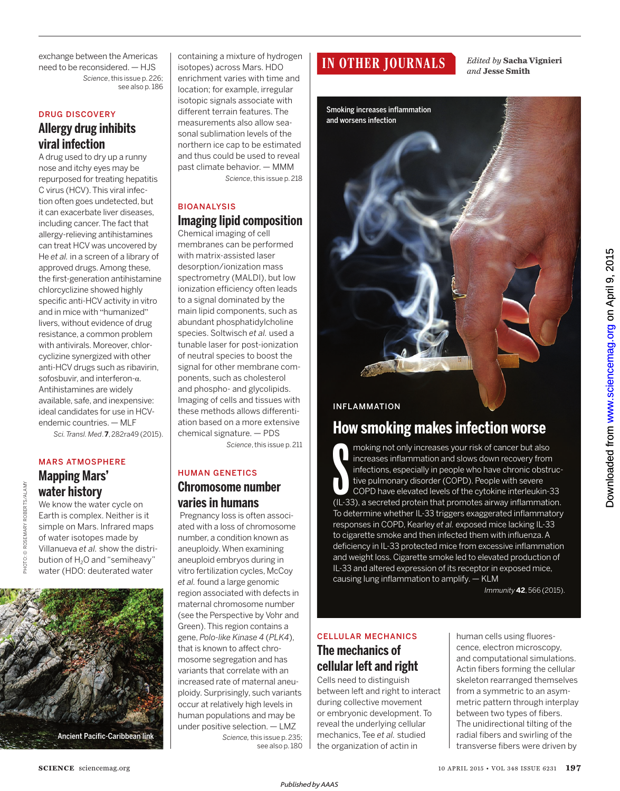exchange between the Americas need to be reconsidered. — HJS *Science*, this issue p. 226; see also p. 186

#### DRUG DISCOVERY

## **Allergy drug inhibits viral infection**

A drug used to dry up a runny nose and itchy eyes may be repurposed for treating hepatitis C virus (HCV). This viral infection often goes undetected, but it can exacerbate liver diseases, including cancer. The fact that allergy-relieving antihistamines can treat HCV was uncovered by He *et al.* in a screen of a library of approved drugs. Among these, the first-generation antihistamine chlorcyclizine showed highly specific anti-HCV activity in vitro and in mice with "humanized" livers, without evidence of drug resistance, a common problem with antivirals. Moreover, chlorcyclizine synergized with other anti-HCV drugs such as ribavirin, sofosbuvir, and interferon-α. Antihistamines are widely available, safe, and inexpensive: ideal candidates for use in HCVendemic countries. — MLF

*Sci. Transl. Med*. **7**, 282ra49 (2015).

#### MARS ATMOSPHERE **Mapping Mars'**

We know the water cycle on Earth is complex. Neither is it simple on Mars. Infrared maps of water isotopes made by Villanueva *et al.* show the distribution of H<sub>2</sub>O and "semiheavy"

**water history** 



containing a mixture of hydrogen isotopes) across Mars. HDO enrichment varies with time and location; for example, irregular isotopic signals associate with different terrain features. The measurements also allow seasonal sublimation levels of the northern ice cap to be estimated and thus could be used to reveal past climate behavior. — MMM *Science*, this issue p. 218

BIOANALYSIS

# **Imaging lipid composition**

Chemical imaging of cell membranes can be performed with matrix-assisted laser desorption/ionization mass spectrometry (MALDI), but low ionization efficiency often leads to a signal dominated by the main lipid components, such as abundant phosphatidylcholine species. Soltwisch *et al.* used a tunable laser for post-ionization of neutral species to boost the signal for other membrane components, such as cholesterol and phospho- and glycolipids. Imaging of cells and tissues with these methods allows differentiation based on a more extensive chemical signature. — PDS *Science*, this issue p. 211

### HUMAN GENETICS **Chromosome number varies in humans**

Pregnancy loss is often associated with a loss of chromosome number, a condition known as aneuploidy. When examining aneuploid embryos during in vitro fertilization cycles, McCoy *et al.* found a large genomic region associated with defects in maternal chromosome number (see the Perspective by Vohr and Green). This region contains a gene, *Polo-like Kinase 4* (*PLK4*), that is known to affect chromosome segregation and has variants that correlate with an increased rate of maternal aneuploidy. Surprisingly, such variants occur at relatively high levels in human populations and may be under positive selection. — LMZ *Science,* this issue p. 235; see also p. 180

# **IN OTHER JOURNALS**

*Edited by* **Sacha Vignieri** *and* **Jesse Smith**

Smoking increases inflammation and worsens infection

# INFLAMMATION

**How smoking makes infection worse**

moking not only increases your risk of cancer but also<br>increases inflammation and slows down recovery from<br>infections, especially in people who have chronic obstruc-<br>tive pulmonary disorder (COPD). People with severe<br>COPD moking not only increases your risk of cancer but also increases inflammation and slows down recovery from infections, especially in people who have chronic obstructive pulmonary disorder (COPD). People with severe COPD have elevated levels of the cytokine interleukin-33 To determine whether IL-33 triggers exaggerated inflammatory responses in COPD, Kearley *et al.* exposed mice lacking IL-33 to cigarette smoke and then infected them with influenza.A deficiency in IL-33 protected mice from excessive inflammation and weight loss. Cigarette smoke led to elevated production of IL-33 and altered expression of its receptor in exposed mice, causing lung inflammation to amplify. — KLM

*Immunity* **42**, 566 (2015).

## CELLULAR MECHANICS **The mechanics of cellular left and right**

Cells need to distinguish between left and right to interact during collective movement or embryonic development. To reveal the underlying cellular mechanics, Tee *et al.* studied the organization of actin in

human cells using fluorescence, electron microscopy, and computational simulations. Actin fibers forming the cellular skeleton rearranged themselves from a symmetric to an asymmetric pattern through interplay between two types of fibers. The unidirectional tilting of the radial fibers and swirling of the transverse fibers were driven by